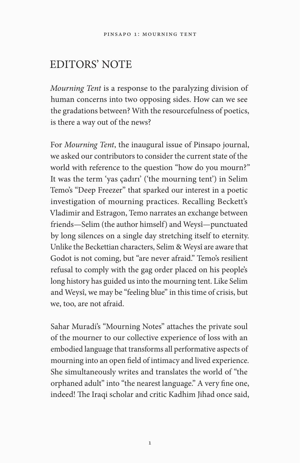## EDITORS' NOTE

*Mourning Tent* is a response to the paralyzing division of human concerns into two opposing sides. How can we see the gradations between? With the resourcefulness of poetics, is there a way out of the news?

For *Mourning Tent*, the inaugural issue of Pinsapo journal, we asked our contributors to consider the current state of the world with reference to the question "how do you mourn?" It was the term 'yas çadırı' ('the mourning tent') in Selim Temo's "Deep Freezer" that sparked our interest in a poetic investigation of mourning practices. Recalling Beckett's Vladimir and Estragon, Temo narrates an exchange between friends—Selim (the author himself) and Weysî—punctuated by long silences on a single day stretching itself to eternity. Unlike the Beckettian characters, Selim & Weysî are aware that Godot is not coming, but "are never afraid." Temo's resilient refusal to comply with the gag order placed on his people's long history has guided us into the mourning tent. Like Selim and Weysî, we may be "feeling blue" in this time of crisis, but we, too, are not afraid.

Sahar Muradi's "Mourning Notes" attaches the private soul of the mourner to our collective experience of loss with an embodied language that transforms all performative aspects of mourning into an open field of intimacy and lived experience. She simultaneously writes and translates the world of "the orphaned adult" into "the nearest language." A very fine one, indeed! The Iraqi scholar and critic Kadhim Jihad once said,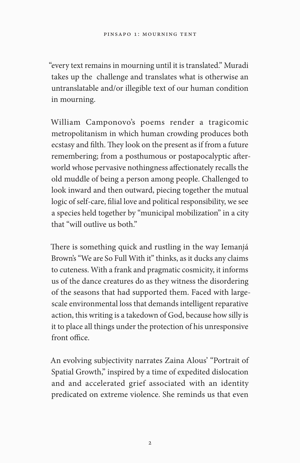"every text remains in mourning until it is translated." Muradi takes up the challenge and translates what is otherwise an untranslatable and/or illegible text of our human condition in mourning.

William Camponovo's poems render a tragicomic metropolitanism in which human crowding produces both ecstasy and filth. They look on the present as if from a future remembering; from a posthumous or postapocalyptic afterworld whose pervasive nothingness affectionately recalls the old muddle of being a person among people. Challenged to look inward and then outward, piecing together the mutual logic of self-care, filial love and political responsibility, we see a species held together by "municipal mobilization" in a city that "will outlive us both."

There is something quick and rustling in the way Iemanjá Brown's "We are So Full With it" thinks, as it ducks any claims to cuteness. With a frank and pragmatic cosmicity, it informs us of the dance creatures do as they witness the disordering of the seasons that had supported them. Faced with largescale environmental loss that demands intelligent reparative action, this writing is a takedown of God, because how silly is it to place all things under the protection of his unresponsive front office.

An evolving subjectivity narrates Zaina Alous' "Portrait of Spatial Growth," inspired by a time of expedited dislocation and and accelerated grief associated with an identity predicated on extreme violence. She reminds us that even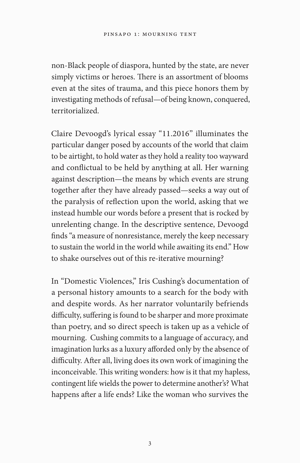non-Black people of diaspora, hunted by the state, are never simply victims or heroes. There is an assortment of blooms even at the sites of trauma, and this piece honors them by investigating methods of refusal—of being known, conquered, territorialized.

Claire Devoogd's lyrical essay "11.2016" illuminates the particular danger posed by accounts of the world that claim to be airtight, to hold water as they hold a reality too wayward and conflictual to be held by anything at all. Her warning against description—the means by which events are strung together after they have already passed—seeks a way out of the paralysis of reflection upon the world, asking that we instead humble our words before a present that is rocked by unrelenting change. In the descriptive sentence, Devoogd finds "a measure of nonresistance, merely the keep necessary to sustain the world in the world while awaiting its end." How to shake ourselves out of this re-iterative mourning?

In "Domestic Violences," Iris Cushing's documentation of a personal history amounts to a search for the body with and despite words. As her narrator voluntarily befriends difficulty, suffering is found to be sharper and more proximate than poetry, and so direct speech is taken up as a vehicle of mourning. Cushing commits to a language of accuracy, and imagination lurks as a luxury afforded only by the absence of difficulty. After all, living does its own work of imagining the inconceivable. This writing wonders: how is it that my hapless, contingent life wields the power to determine another's? What happens after a life ends? Like the woman who survives the